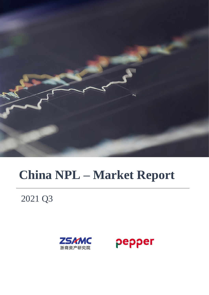

# **China NPL – Market Report**

2021 Q3



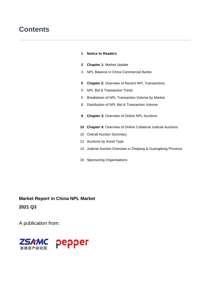## **Contents**

…………………………………………………………………………………………………………………….

### **1 Notice to Readers**

- **2 Chapter 1:** Market Update
- 3 NPL Balance in China Commercial Banks
- **5 Chapter 2:** Overview of Recent NPL Transactions
- 5 NPL Bid & Transaction Trend
- 5 Breakdown of NPL Transaction Volume by Market
- 8 Distribution of NPL Bid & Transaction Volume
- **9 Chapter 3:** Overview of Online NPL Auctions
- **10 Chapter 4:** Overview of Online Collateral Judicial Auctions
- 10 Overall Auction Summary
- 12 Auctions by Asset Type
- 14 Judicial Auction Overview in Zhejiang & Guangdong Province
- 16 Sponsoring Organisations

**Market Report in China NPL Market**

**2021 Q3**

A publication from:

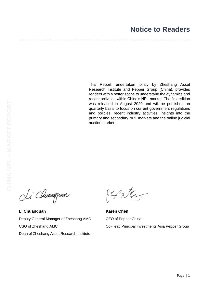This Report, undertaken jointly by Zheshang Asset Research Institute and Pepper Group (China), provides readers with a better scope to understand the dynamics and recent activities within China's NPL market. The first edition was released in August 2020 and will be published on quarterly basis to focus on current government regulations and policies, recent industry activities, insights into the primary and secondary NPL markets and the online judicial auction market.

…………………………………………………………………………………………………………………….

Li Cheanguain

**Li Chuanquan** Deputy General Manager of Zheshang AMC CSO of Zheshang AMC Dean of Zheshang Asset Research Institute

**Karen Chen** CEO of Pepper China Co-Head Principal Investments Asia Pepper Group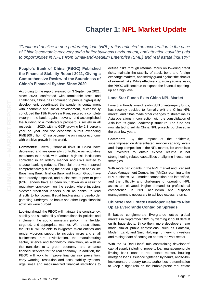## **Chapter 1: NPL Market Update**

*"Continued decline in non-performing loan (NPL) ratios reflected an acceleration in the pace of China's economic recovery and a better business environment, and attention could be paid to opportunities in NPLs from Small-and-Medium Enterprise (SME) and real estate industry"*

…………………………………………………………………………………………………………………….

## **People's Bank of China (PBOC) Published the Financial Stability Report 2021, Giving a Comprehensive Review of the Soundness of China's Financial System Since 2020**

According to the report released on 3 September 2021, since 2020, confronted with formidable tests and challenges, China has continued to pursue high-quality development, coordinated the pandemic containment with economic and social development, successfully concluded the 13th Five-Year Plan, secured a complete victory in the battle against poverty, and accomplished the building of a moderately prosperous society in all respects. In 2020, with its GDP growing by 2.3 percent year on year and the economic output exceeding RMB100 trillion, China became the only major economy with positive growth in the world.

**Comments:** Overall, financial risks in China have decreased and are generally controllable as regulatory measures take hold, with various high-risk institutions controlled in an orderly manner and risks related to shadow banking reduced. Financial order was restored comprehensively during the period. High risk banks like Baoshang Bank, Jinzhou Bank and Huaxin Group have been orderly disposed, and businesses of peer-to-peer (P2P) lenders have all been shut down as a result of regulatory crackdown on the sector, where investors sidestep traditional lenders such as banks, to lend directly to borrowers. Illegal fund-raising, cross-border gambling, underground banks and other illegal financial activities were curbed.

Looking ahead, the PBOC will maintain the consistency, stability and sustainability of macro financial policies and implement the sound monetary policy in a flexible, targeted, and appropriate manner. With these efforts, the PBOC will be able to invigorate micro entities and render vigorous support to inclusive micro and small businesses, rural revitalization, the manufacturing sector, science and technology innovation, as well as the transition to a green economy, and enhance financial services for the real economy. In addition, the PBOC will work to improve financial risk prevention, early warning, resolution and accountability systems, urge small and medium-sized financial institutions to defuse risks through reforms, focus on lowering credit risks, maintain the stability of stock, bond and foreign exchange markets, and strictly guard against the shocks of external risks. While effectively guarding against risks, the PBOC will continue to expand the financial openingup at a high level.

### **Lone Star Funds Exits China NPL Market**

Lone Star Funds, one of leading US private equity funds, has recently decided to formally exit the China NPL market, and it has made other changes to streamline its Asia operations in connection with the consolidation of Asia into its global leadership structure. The fund has now started to sell its China NPL projects purchased in the past few years.

**Comments:** By the impact of the epidemic, superimposed on differentiated servicer capacity levels and sharp competition in the NPL market, it's unrealistic for investors to obtain excess returns if not strengthening related capabilities or aligning investment strategies.

With more participants in the NPL market and licensed Asset Management Companies (AMCs) returning to the NPL business, NPL market competition has intensified, and the difficulty and challenges of operating NPL assets are elevated. Higher demand for professional competence in NPL acquisition and disposal management is necessary to achieve excess returns.

## **Chinese Real Estate Developer Defaults Rise Up as Evergrande Contagion Spreads**

Embattled conglomerate Evergrande rattled global markets in September 2021 by warning it could default on its huge debts. Since then, more developers have made similar public confessions, such as Fantasia, Modern Land, and Sinic Holdings, unnerving investors and raising fears of contagion across the vast sector.

With the "3 Red Lines" rule constraining developers' capital supply including, property loan management rule limiting bank loans to real estate market, housing mortgage loans issuance tightened by banks, and to-beimplemented property taxes, authorities' determination to keep a tight rein on the bubble-prone real estate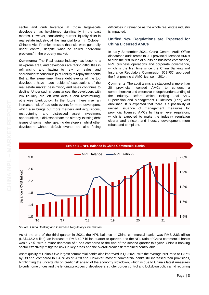sector and curb leverage at those large-scale developers has heightened significantly in the past months. However, considering current liquidity risks in real estate industry, at the financial forum in October, Chinese Vice Premier stressed that risks were generally under control, despite what he called "individual problems" in the property market.

**Comments:** The Real estate industry has become a risk-prone area, and developers are facing difficulties in refinancing and having to rely on sales and shareholders' conscious joint liability to repay their debts. But at the same time, those debt events of the top developers have made residents' expectations of the real estate market pessimistic, and sales continues to decline. Under such circumstances, the developers with low liquidity are left with default and restructuring, otherwise bankruptcy. In the future, there may an increased risk of bad-debt events for more developers, which also brings out more mergers and acquisitions, restructuring, and distressed asset investment opportunities, it did exacerbate the already-existing debt issues of some higher gearing developers, whilst other developers without default events are also facing

difficulties in refinance as the whole real estate industry is impacted.

## **Unified New Regulations are Expected for China Licensed AMCs**

In early September 2021, China Central Audit Office dispatched audit teams to 20+ provincial licensed AMCs to start the first round of audits on business compliance, NPL business operations and corporate governance, which is the first time since the China Banking and Insurance Regulatory Commission (CBIRC) approved the first provincial AMC license in 2014.

**Comments**: The audit teams are stationed at more than 20 provincial licensed AMCs to conduct a comprehensive and extensive in-depth understanding of the industry. Before which, Beijing Loal AMC Supervision and Management Guidelines (Trial) was abolished. It is expected that there is a possibility of unified issuance of management measures for provincial licensed AMCs by higher level regulators, which is expected to make the industry regulation clearer and stricter, and industry development more robust and compliant.



*Source: China Banking and Insurance Regulatory Commission*

As of the end of the third quarter in 2021, the NPL balance of China commercial banks was RMB 2.83 trillion (US\$442.2 billion), an increase of RMB 42.7 billion quarter-to-quarter, and the NPL ratio of China commercial banks was 1.75%, with a minor decrease of 1 bps compared to the end of the second quarter this year. China's banking sector effectively mitigated risks in key areas and the overall credit risk remained controllable.

Asset quality of China's five largest commercial banks also improved in Q3 2021, with the average NPL ratio at 1.37% by Q3 end, compared to 1.45% as of 2020 end. However, most of commercial banks still increased their provisions, highlighting the uncertainty on credit risk ahead of the economy slowdown, which is due to China's latest measures to curb home prices and the lending practices of developers, stricter border control and lockdown policy amid recurring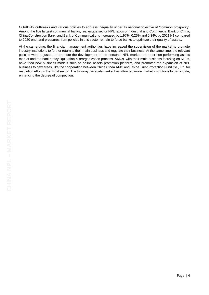COVID-19 outbreaks and various policies to address inequality under its national objective of 'common prosperity'. Among the five largest commercial banks, real estate sector NPL ratios of Industrial and Commercial Bank of China, China Construction Bank, and Bank of Communications increased by 1.97%, 0.25% and 0.34% by 2021 H1 compared to 2020 end, and pressures from policies in this sector remain to force banks to optimize their quality of assets.

At the same time, the financial management authorities have increased the supervision of the market to promote industry institutions to further return to their main business and regulate their business. At the same time, the relevant policies were adjusted, to promote the development of the personal NPL market, the trust non-performing assets market and the bankruptcy liquidation & reorganization process. AMCs, with their main business focusing on NPLs, have tried new business models such as online assets promotion platform, and promoted the expansion of NPL business to new areas, like the cooperation between China Cinda AMC and China Trust Protection Fund Co., Ltd. for resolution effort in the Trust sector. The trillion-yuan scale market has attracted more market institutions to participate, enhancing the degree of competition.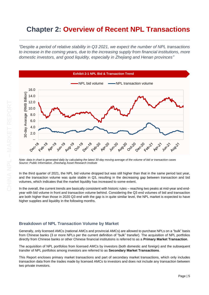## **Chapter 2: Overview of Recent NPL Transactions**

*"Despite a period of relative stability in Q3 2021, we expect the number of NPL transactions to increase in the coming years, due to the increasing supply from financial institutions, more domestic investors, and good liquidity, especially in Zhejiang and Henan provinces"*

…………………………………………………………………………………………………………………….



*Note: data in chart is generated daily by calculating the latest 30-day moving average of the volume of bid or transaction cases Source: Public Information, Zheshang Asset Research Institute*

In the third quarter of 2021, the NPL bid volume dropped but was still higher than that in the same period last year, and the transaction volume was quite stable in Q3, resulting in the decreasing gap between transaction and bid volumes, which indicates that the market liquidity has increased to some extent.

In the overall, the current trends are basically consistent with historic rules – reaching two peaks at mid-year and endyear with bid volume in front and transaction volume behind. Considering the Q3 end volumes of bid and transaction are both higher than those in 2020 Q3 end with the gap is in quite similar level, the NPL market is expected to have higher supplies and liquidity in the following months.

## **Breakdown of NPL Transaction Volume by Market**

Generally, only licensed AMCs (national AMCs and provincial AMCs) are allowed to purchase NPLs on a "bulk" basis from Chinese banks (3 or more NPLs per the current definition of "bulk" transfer). The acquisition of NPL portfolios directly from Chinese banks or other Chinese financial institutions is referred to as a **Primary Market Transaction**.

The acquisition of NPL portfolios from licensed AMCs by investors (both domestic and foreign) and the subsequent transfer of NPL portfolios among investors are referred to as **Secondary Market Transactions**.

This Report encloses primary market transactions and part of secondary market transactions, which only includes transaction data from the trades made by licensed AMCs to investors and does not include any transaction between two private investors.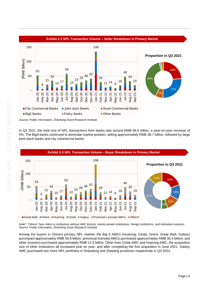

*Source: Public Information, Zheshang Asset Research Institute*

In Q3 2021, the total size of NPL transactions from banks was around RMB 99.5 billion, a year-on-year increase of 5%. The Big5 banks continued to dominate market position, selling approximately RMB 38.7 billion, followed by large joint-stock banks and city commercial banks.



*Note\*: "Others" here refers to institutions without AMC license, mainly private enterprises, foreign institutions, and individual investors. Source: Public Information, Zheshang Asset Research Institute.*

Among the buyers in China's primary NPL market, the Big 5 AMCs (Huarong, Cinda, Orient, Great Wall, Galaxy) purchased approximately RMB 50.6 billion, provincial licensed AMCs purchased approximately RMB 36.4 billion, and other investors purchased approximately RMB 12.5 billion. Other than Cinda AMC and Huarong AMC, the acquisition size of other institutions all increased year on year, and after completing the first acquisition in June 2021, Galaxy AMC purchased two more NPL portfolios in Shandong and Zhejiang provinces respectively in Q3 2021.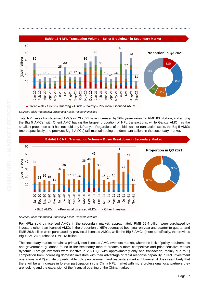



Great Wall Orient Huarong Cinda Galaxy Provincial Licensed AMCs

*Source: Public Information, Zheshang Asset Research Institute*

Total NPL sales from licensed AMCs in Q3 2021 have increased by 26% year-on-year to RMB 80.5 billion, and among the Big 5 AMCs, with Orient AMC having the largest proportion of NPL transactions, while Galaxy AMC has the smallest proportion as it has not sold any NPLs yet. Regardless of the bid scale or transaction scale, the Big 5 AMCs (more specifically, the previous Big 4 AMCs) still maintain being the dominant sellers in the secondary market.



**Proportion in Q3 2021**



*Source: Public Information, Zheshang Asset Research Institute*

For NPLs sold by licensed AMCs in the secondary market, approximately RMB 52.4 billion were purchased by investors other than licensed AMCs in the proportion of 65% decreased both year-on-year and quarter-to-quarter and RMB 26.8 billion were purchased by provincial licensed AMCs, while the Big 5 AMCs (more specifically, the previous Big 4 AMCs) purchased RMB 13 billion.

The secondary market remains a primarily non-licensed-AMC investors market, where the lack of policy requirements and government guidance found in the secondary market creates a more competitive and price-sensitive market dynamic. Foreign investors were inactive in 2021 Q3 with approximately only one transaction, mainly due to 1) competition from increasing domestic investors with their advantage of rapid response capability in NPL investment operations and 2) a quite unpredictable policy environment and real estate market. However, it does seem likely that there will be an increase in foreign participation in the China NPL market with more professional local partners they are looking and the expansion of the financial opening of the China market.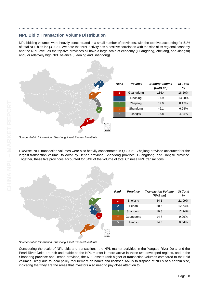## **NPL Bid & Transaction Volume Distribution**

NPL bidding volumes were heavily concentrated in a small number of provinces, with the top five accounting for 51% of total NPL bids in Q3 2021. We note that NPL activity has a positive correlation with the size of its regional economy and the NPL level, as the top-five provinces all have a large scale of economy (Guangdong, Zhejiang, and Jiangsu) and / or relatively high NPL balance (Liaoning and Shandong).

…………………………………………………………………………………………………………………….



*Source: Public Information, Zheshang Asset Research Institute*

Likewise, NPL transaction volumes were also heavily concentrated in Q3 2021. Zhejiang province accounted for the largest transaction volume, followed by Henan province, Shandong province, Guangdong, and Jiangsu province. Together, these five provinces accounted for 64% of the volume of total Chinese NPL transactions.



*Source: Public Information, Zheshang Asset Research Institute*

Considering the scale of NPL bids and transactions, the NPL market activities in the Yangtze River Delta and the Pearl River Delta are rich and stable as the NPL market is more active in these two developed regions, and in the Shandong province and Henan province, the NPL assets rank higher of transaction volumes compared to their bid volumes, likely due to local policy requirement on banks and licensed AMCs to dispose of NPLs of a certain size, indicating that they are the areas that investors also need to pay close attention to.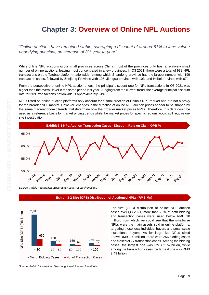## **Chapter 3: Overview of Online NPL Auctions**

*"Online auctions have remained stable, averaging a discount of around 61% to face value / underlying principal, an increase of 3% year-to-year"*

…………………………………………………………………………………………………………………….

While online NPL auctions occur in all provinces across China, most of the provinces only host a relatively small number of online auctions, leaving most concentrated in a few provinces. In Q3 2021, there were a total of 938 NPL transactions on the Taobao platform nationwide, among which Shandong province had the largest number with 199 transaction cases, followed by Zhejiang Province with 105, Jiangsu province with 103, and Hebei province with 67.

From the perspective of online NPL auction prices, the principal discount rate for NPL transactions in Q3 2021 was higher than the overall level in the same period last year. Judging from the current trend, the average principal discount rate for NPL transactions nationwide is approximately 61%.

NPLs listed on online auction platforms only account for a small fraction of China's NPL market and are not a proxy for the broader NPL market. However, changes in the direction of online NPL auction prices appear to be shaped by the same macroeconomic trends that determine how the broader market prices NPLs. Therefore, this data could be used as a reference basis for market pricing trends while the market prices for specific regions would still require onsite investigation.





**Exhibit 3-2 Size (OPB) Distribution of Auctioned NPLs (RMB Mn)**

*Source: Public Information, Zheshang Asset Research Institute*

For size (OPB) distribution of online NPL auction cases over Q3 2021, more than 75% of both bidding and transaction cases were sized below RMB 10 million, from which we could see that the small-size NPLs were the main assets sold in online platforms, targeting those local individual buyers and small-scale institutional buyers. As for large-size NPLs sized above RMB 100 million, there were 256 bidding cases and closed at 77 transaction cases. Among the bidding cases, the largest one was RMB 2.74 billion, while among the transaction cases the largest one was RMB 2.49 billion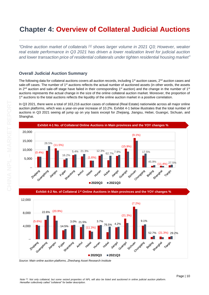## **Chapter 4: Overview of Collateral Judicial Auctions**

…………………………………………………………………………………………………………………….

*"Online auction market of collaterals [1] shows larger volume in 2021 Q3; However, weaker real estate performance in Q3 2021 has driven a lower realization level for judicial auction and lower transaction price of residential collaterals under tighten residential housing market"*

## **Overall Judicial Auction Summary**

The following data for collateral auctions covers all auction records, including 1<sup>st</sup> auction cases, 2<sup>nd</sup> auction cases and sale-off cases. The number of 1<sup>st</sup> auctions reflects the actual number of auctioned assets (in other words, the assets in 2<sup>nd</sup> auction and sale-off stage have failed in their corresponding 1<sup>st</sup> auction) and the change in the number of 1<sup>st</sup> auctions represents the actual change in the size of the online collateral auction market. Moreover, the proportion of 1<sup>st</sup> auctions to the total auctions reflects the liquidity of the online auction market in a positive correlation.

In Q3 2021, there were a total of 163,216 auction cases of collateral (Real Estate) nationwide across all major online auction platforms, which was a year-on-year increase of 10.2%. Exhibit 4-1 below illustrates that the total number of auctions in Q3 2021 seeing all jump up on yoy basis except for Zhejiang, Jiangsu, Hebei, Guangxi, Sichuan, and Shanghai.





**Exhibit 4-2 No. of Collateral 1st Online Auctions in Main provinces and the YOY changes %**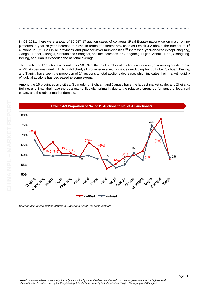In Q3 2021, there were a total of 95,587 1<sup>st</sup> auction cases of collateral (Real Estate) nationwide on major online platforms, a year-on-year increase of 6.5%. In terms of different provinces as Exhibit 4-2 above, the number of  $1<sup>st</sup>$ auctions in Q3 2020 in all provinces and province-level municipalities [1] increased year-on-year except Zhejiang, Jiangsu, Hebei, Guangxi, Sichuan and Shanghai, and the increases in Guangdong, Fujian, Anhui, Hubei, Chongqing, Beijing, and Tianjin exceeded the national average.

…………………………………………………………………………………………………………………….

The number of 1<sup>st</sup> auctions accounted for 58.6% of the total number of auctions nationwide, a year-on-year decrease of 2%. As demonstrated in Exhibit 4-3 chart, all province-level municipalities excluding Anhui, Hubei, Sichuan, Beijing, and Tianjin, have seen the proportion of 1<sup>st</sup> auctions to total auctions decrease, which indicates their market liquidity of judicial auctions has decreased to some extent.

Among the 16 provinces and cities, Guangdong, Sichuan, and Jiangsu have the largest market scale, and Zhejiang, Beijing, and Shanghai have the best market liquidity, primarily due to the relatively strong performance of local real estate, and the robust market demand.

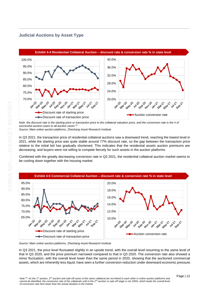## **Judicial Auctions by Asset Type**



…………………………………………………………………………………………………………………….

*Note: the discount rate is the starting price or transaction price to the collateral valuation price, and the conversion rate is the # of successful auction cases to all auction cases [1]*

*Source: Main online auction platforms, Zheshang Asset Research Institute*

In Q3 2021, the transaction price of residential collateral auctions saw a downward trend, reaching the lowest level in 2021, while the starting price was quite stable around 77% discount rate, so the gap between the transaction price relative to the initial bid has gradually shortened. This indicates that the residential assets auction premiums are decreasing, and buyers were not willing to compete fiercely for such assets in the auction platforms.

Combined with the greatly decreasing conversion rate in Q3 2021, the residential collateral auction market seems to be cooling down together with the housing market.





In Q3 2021, the price level fluctuated slightly in an upside trend, with the overall level resuming to the same level of that in Q3 2020, and the price premium narrowed compared to that in Q3 2020. The conversion rate also showed a minor fluctuation, with the overall level lower than the same period in 2020, showing that the auctioned commercial assets, which are inherently less liquid, have seen a further conversion reduction under downward economic pressure.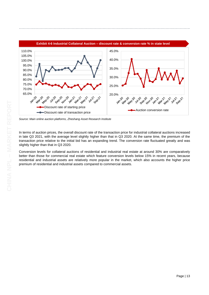

*Source: Main online auction platforms, Zheshang Asset Research Institute*

In terms of auction prices, the overall discount rate of the transaction price for industrial collateral auctions increased in late Q3 2021, with the average level slightly higher than that in Q3 2020. At the same time, the premium of the transaction price relative to the initial bid has an expanding trend. The conversion rate fluctuated greatly and was slightly higher than that in Q3 2020.

Conversion levels for collateral auctions of residential and industrial real estate at around 30% are comparatively better than those for commercial real estate which feature conversion levels below 15% in recent years, because residential and industrial assets are relatively more popular in the market, which also accounts the higher price premium of residential and industrial assets compared to commercial assets.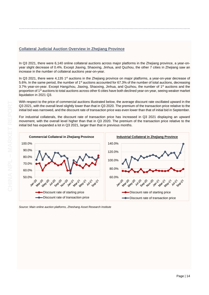### **Collateral Judicial Auction Overview in Zhejiang Province**

In Q3 2021, there were 6,140 online collateral auctions across major platforms in the Zhejiang province, a year-onyear slight decrease of 0.4%. Except Jiaxing, Shaoxing, Jinhua, and Quzhou, the other 7 cities in Zhejiang saw an increase in the number of collateral auctions year-on-year.

…………………………………………………………………………………………………………………….

In Q3 2021, there were 4,135 1<sup>st</sup> auctions in the Zhejiang province on major platforms, a year-on-year decrease of 5.6%. In the same period, the number of 1<sup>st</sup> auctions accounted for 67.3% of the number of total auctions, decreasing 3.7% year-on-year. Except Hangzhou, Jiaxing, Shaoxing, Jinhua, and Quzhou, the number of 1<sup>st</sup> auctions and the proportion of 1<sup>st</sup> auctions to total auctions across other 6 cities have both declined year-on-year, seeing weaker market liquidation in 2021 Q3.

With respect to the price of commercial auctions illustrated below, the average discount rate oscillated upward in the Q3 2021, with the overall level slightly lower than that in Q3 2020. The premium of the transaction price relative to the initial bid was narrowed, and the discount rate of transaction price was even lower than that of initial bid in September.

For industrial collaterals, the discount rate of transaction price has increased in Q3 2021 displaying an upward movement, with the overall level higher than that in Q3 2020. The premium of the transaction price relative to the initial bid has expanded a lot in Q3 2021, larger than that in previous months.

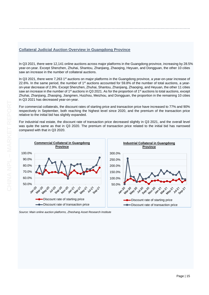### **Collateral Judicial Auction Overview in Guangdong Province**

In Q3 2021, there were 12,141 online auctions across major platforms in the Guangdong province, increasing by 28.5% year-on-year. Except Shenzhen, Zhuhai, Shantou, Zhanjiang, Zhaoqing, Heyuan, and Dongguan, the other 10 cities saw an increase in the number of collateral auctions.

…………………………………………………………………………………………………………………….

In Q3 2021, there were 7,263 1<sup>st</sup> auctions on major platforms in the Guangdong province, a year-on-year increase of 22.6%. In the same period, the number of  $1<sup>st</sup>$  auctions accounted for 59.8% of the number of total auctions, a yearon-year decrease of 2.9%. Except Shenzhen, Zhuhai, Shantou, Zhanjiang, Zhaoqing, and Heyuan, the other 11 cities saw an increase in the number of 1<sup>st</sup> auctions in Q3 2021. As for the proportion of 1<sup>st</sup> auctions to total auctions, except Zhuhai, Zhanjiang, Zhaoqing, Jiangmen, Huizhou, Meizhou, and Dongguan, the proportion in the remaining 10 cities in Q3 2021 has decreased year-on-year.

For commercial collaterals, the discount rates of starting price and transaction price have increased to 77% and 90% respectively in September, both reaching the highest level since 2020, and the premium of the transaction price relative to the initial bid has slightly expanded.

For industrial real estate, the discount rate of transaction price decreased slightly in Q3 2021, and the overall level was quite the same as that in Q3 2020. The premium of transaction price related to the initial bid has narrowed compared with that in Q3 2020.

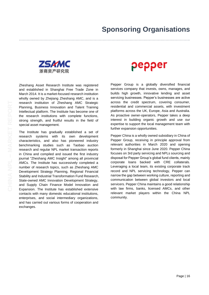浙商资产研究院

Zheshang Asset Research Institute was registered and established in Shanghai Free Trade Zone in March 2014. It is a market-focused research institution wholly owned by Zhejiang Zheshang AMC, and is a research institution of Zheshang AMC Strategic Planning, Business Innovation and Talent Training Intellectual platform. The Institute has become one of the research institutions with complete functions, strong strength, and fruitful results in the field of special asset management.

The Institute has gradually established a set of research systems with its own development characteristics, and also has pioneered industry benchmarking studies such as Taobao auction research and regular NPL market transaction reports in China and compiled and issued the first industry journal "Zheshang AMC Insight" among all provincial AMCs. The Institute has successively completed a number of research topics, such as Zheshang AMC Development Strategy Planning, Regional Financial Stability and Industrial Transformation Fund Research, State-owned AMC Innovation Development Strategy, and Supply Chain Finance Model Innovation and Expansion. The Institute has established extensive contacts with many domestic educational institutions, enterprises, and social intermediary organizations, and has carried out various forms of cooperation and exchanges.

# ၣၔၣၣၔႃႜ

Pepper Group is a globally diversified financial services company that invests, owns, manages, and builds high growth, innovative lending and asset servicing businesses. Pepper's businesses are active across the credit spectrum, covering consumer, residential and commercial assets, with investment platforms across the UK, Europe, Asia and Australia. As proactive owner-operators, Pepper takes a deep interest in building organic growth and use our expertise to support the local management team with further expansion opportunities.

Pepper China is a wholly owned subsidiary in China of Pepper Group, receiving in principle approval from relevant authorities in March 2020 and opening formerly in Shanghai since June 2020. Pepper China focuses on 3rd party servicing and NPLs sourcing and disposal for Pepper Group's global fund clients, mainly corporate loans backed with CRE collaterals. Leveraging a local team, its existing corporate track record and NPL servicing technology, Pepper can narrow the gap between working culture, reporting and communication between global investors and local servicers. Pepper China maintains a good relationship with law firms, banks, licensed AMCs, and other relevant market players within the China NPL community.